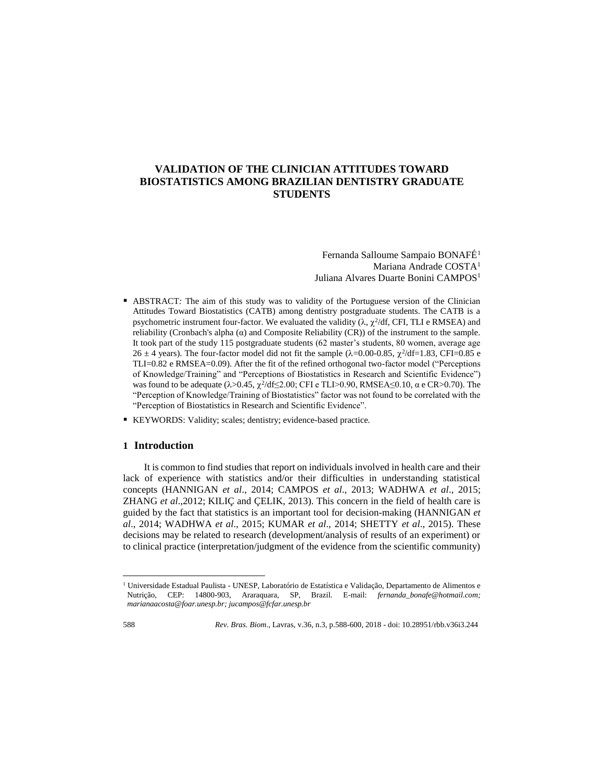# **VALIDATION OF THE CLINICIAN ATTITUDES TOWARD BIOSTATISTICS AMONG BRAZILIAN DENTISTRY GRADUATE STUDENTS**

Fernanda Salloume Sampaio BONAFÉ<sup>1</sup> Mariana Andrade COSTA<sup>1</sup> Juliana Alvares Duarte Bonini CAMPOS<sup>1</sup>

- ABSTRACT*:* The aim of this study was to validity of the Portuguese version of the Clinician Attitudes Toward Biostatistics (CATB) among dentistry postgraduate students. The CATB is a psychometric instrument four-factor. We evaluated the validity  $(\lambda, \chi^2/df, CFI, TLI$  e RMSEA) and reliability (Cronbach's alpha (α) and Composite Reliability (CR)) of the instrument to the sample. It took part of the study 115 postgraduate students (62 master's students, 80 women, average age  $26 \pm 4$  years). The four-factor model did not fit the sample ( $\lambda$ =0.00-0.85,  $\chi^2$ /df=1.83, CFI=0.85 e TLI=0.82 e RMSEA=0.09). After the fit of the refined orthogonal two-factor model ("Perceptions of Knowledge/Training" and "Perceptions of Biostatistics in Research and Scientific Evidence") was found to be adequate  $(\lambda > 0.45, \chi^2/\text{df} \leq 2.00)$ ; CFI e TLI>0.90, RMSEA  $\leq 0.10$ ,  $\alpha$  e CR>0.70). The "Perception of Knowledge/Training of Biostatistics" factor was not found to be correlated with the "Perception of Biostatistics in Research and Scientific Evidence".
- KEYWORDS: Validity; scales; dentistry; evidence-based practice*.*

# **1 Introduction**

 $\overline{a}$ 

It is common to find studies that report on individuals involved in health care and their lack of experience with statistics and/or their difficulties in understanding statistical concepts (HANNIGAN *et al*., 2014; CAMPOS *et al*., 2013; WADHWA *et al*., 2015; ZHANG *et al*.,2012; KILIÇ and ÇELIK, 2013). This concern in the field of health care is guided by the fact that statistics is an important tool for decision-making (HANNIGAN *et al*., 2014; WADHWA *et al*., 2015; KUMAR *et al*., 2014; SHETTY *et al*., 2015). These decisions may be related to research (development/analysis of results of an experiment) or to clinical practice (interpretation/judgment of the evidence from the scientific community)

<sup>1</sup> Universidade Estadual Paulista - UNESP, Laboratório de Estatística e Validação, Departamento de Alimentos e Nutrição, CEP: 14800-903, Araraquara, SP, Brazil. E-mail: *fernanda\_bonafe@hotmail.com; marianaacosta@foar.unesp.br; jucampos@fcfar.unesp.br*

<sup>588</sup> *Rev. Bras. Biom*., Lavras, v.36, n.3, p.588-600, 2018 - doi: 10.28951/rbb.v36i3.244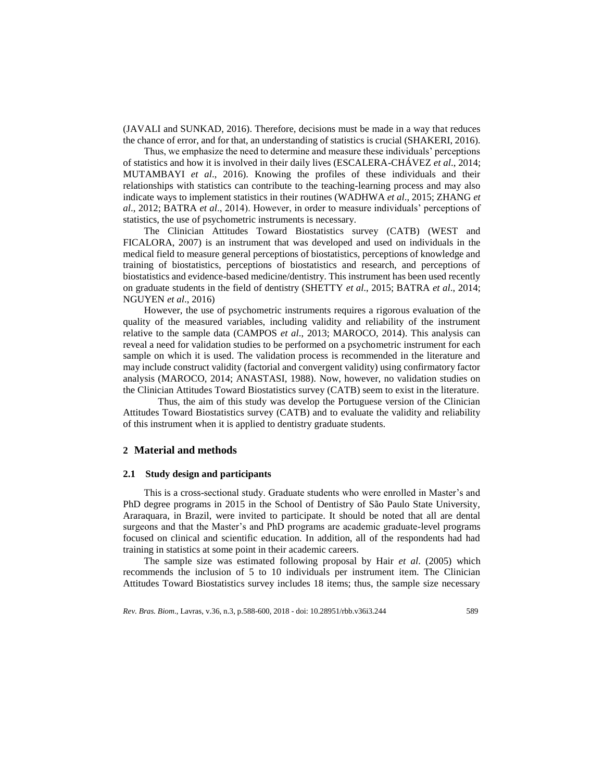(JAVALI and SUNKAD, 2016). Therefore, decisions must be made in a way that reduces the chance of error, and for that, an understanding of statistics is crucial (SHAKERI, 2016).

Thus, we emphasize the need to determine and measure these individuals' perceptions of statistics and how it is involved in their daily lives (ESCALERA-CHÁVEZ *et al*., 2014; MUTAMBAYI *et al*., 2016). Knowing the profiles of these individuals and their relationships with statistics can contribute to the teaching-learning process and may also indicate ways to implement statistics in their routines (WADHWA *et al*., 2015; ZHANG *et al*., 2012; BATRA *et al*., 2014). However, in order to measure individuals' perceptions of statistics, the use of psychometric instruments is necessary.

The Clinician Attitudes Toward Biostatistics survey (CATB) (WEST and FICALORA, 2007) is an instrument that was developed and used on individuals in the medical field to measure general perceptions of biostatistics, perceptions of knowledge and training of biostatistics, perceptions of biostatistics and research, and perceptions of biostatistics and evidence-based medicine/dentistry. This instrument has been used recently on graduate students in the field of dentistry (SHETTY *et al*., 2015; BATRA *et al*., 2014; NGUYEN *et al*., 2016)

However, the use of psychometric instruments requires a rigorous evaluation of the quality of the measured variables, including validity and reliability of the instrument relative to the sample data (CAMPOS *et al*., 2013; MAROCO, 2014). This analysis can reveal a need for validation studies to be performed on a psychometric instrument for each sample on which it is used. The validation process is recommended in the literature and may include construct validity (factorial and convergent validity) using confirmatory factor analysis (MAROCO, 2014; ANASTASI, 1988). Now, however, no validation studies on the Clinician Attitudes Toward Biostatistics survey (CATB) seem to exist in the literature.

Thus, the aim of this study was develop the Portuguese version of the Clinician Attitudes Toward Biostatistics survey (CATB) and to evaluate the validity and reliability of this instrument when it is applied to dentistry graduate students.

# **2 Material and methods**

### **2.1 Study design and participants**

This is a cross-sectional study. Graduate students who were enrolled in Master's and PhD degree programs in 2015 in the School of Dentistry of São Paulo State University, Araraquara, in Brazil, were invited to participate. It should be noted that all are dental surgeons and that the Master's and PhD programs are academic graduate-level programs focused on clinical and scientific education. In addition, all of the respondents had had training in statistics at some point in their academic careers.

The sample size was estimated following proposal by Hair *et al*. (2005) which recommends the inclusion of 5 to 10 individuals per instrument item. The Clinician Attitudes Toward Biostatistics survey includes 18 items; thus, the sample size necessary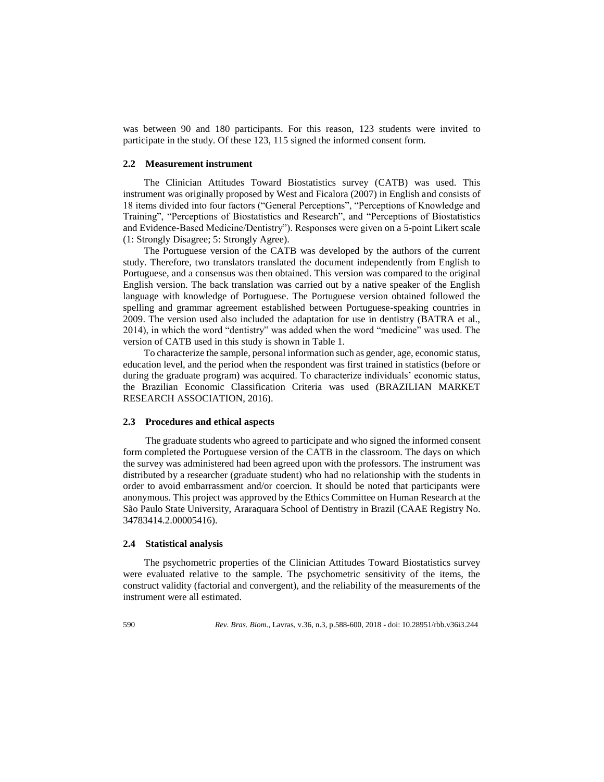was between 90 and 180 participants. For this reason, 123 students were invited to participate in the study. Of these 123, 115 signed the informed consent form.

### **2.2 Measurement instrument**

The Clinician Attitudes Toward Biostatistics survey (CATB) was used. This instrument was originally proposed by West and Ficalora (2007) in English and consists of 18 items divided into four factors ("General Perceptions", "Perceptions of Knowledge and Training", "Perceptions of Biostatistics and Research", and "Perceptions of Biostatistics and Evidence-Based Medicine/Dentistry"). Responses were given on a 5-point Likert scale (1: Strongly Disagree; 5: Strongly Agree).

The Portuguese version of the CATB was developed by the authors of the current study. Therefore, two translators translated the document independently from English to Portuguese, and a consensus was then obtained. This version was compared to the original English version. The back translation was carried out by a native speaker of the English language with knowledge of Portuguese. The Portuguese version obtained followed the spelling and grammar agreement established between Portuguese-speaking countries in 2009. The version used also included the adaptation for use in dentistry (BATRA et al., 2014), in which the word "dentistry" was added when the word "medicine" was used. The version of CATB used in this study is shown in Table 1.

To characterize the sample, personal information such as gender, age, economic status, education level, and the period when the respondent was first trained in statistics (before or during the graduate program) was acquired. To characterize individuals' economic status, the Brazilian Economic Classification Criteria was used (BRAZILIAN MARKET RESEARCH ASSOCIATION, 2016).

### **2.3 Procedures and ethical aspects**

The graduate students who agreed to participate and who signed the informed consent form completed the Portuguese version of the CATB in the classroom. The days on which the survey was administered had been agreed upon with the professors. The instrument was distributed by a researcher (graduate student) who had no relationship with the students in order to avoid embarrassment and/or coercion. It should be noted that participants were anonymous. This project was approved by the Ethics Committee on Human Research at the São Paulo State University, Araraquara School of Dentistry in Brazil (CAAE Registry No. 34783414.2.00005416).

#### **2.4 Statistical analysis**

The psychometric properties of the Clinician Attitudes Toward Biostatistics survey were evaluated relative to the sample. The psychometric sensitivity of the items, the construct validity (factorial and convergent), and the reliability of the measurements of the instrument were all estimated.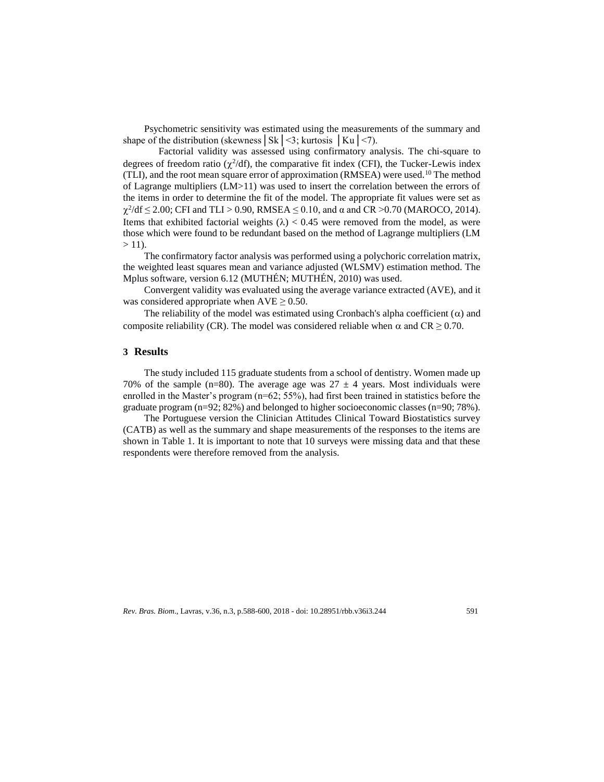Psychometric sensitivity was estimated using the measurements of the summary and shape of the distribution (skewness  $\vert S_k \vert \langle 3 \rangle$ ; kurtosis  $\vert K_u \vert \langle 7 \rangle$ ).

Factorial validity was assessed using confirmatory analysis. The chi-square to degrees of freedom ratio  $(\chi^2/df)$ , the comparative fit index (CFI), the Tucker-Lewis index (TLI), and the root mean square error of approximation (RMSEA) were used.<sup>10</sup> The method of Lagrange multipliers (LM>11) was used to insert the correlation between the errors of the items in order to determine the fit of the model. The appropriate fit values were set as  $\chi^2$ /df  $\leq$  2.00; CFI and TLI > 0.90, RMSEA  $\leq$  0.10, and  $\alpha$  and CR >0.70 (MAROCO, 2014). Items that exhibited factorial weights  $(\lambda) < 0.45$  were removed from the model, as were those which were found to be redundant based on the method of Lagrange multipliers (LM  $> 11$ ).

The confirmatory factor analysis was performed using a polychoric correlation matrix, the weighted least squares mean and variance adjusted (WLSMV) estimation method. The Mplus software, version 6.12 (MUTHÉN; MUTHÉN, 2010) was used.

Convergent validity was evaluated using the average variance extracted (AVE), and it was considered appropriate when  $AVE \geq 0.50$ .

The reliability of the model was estimated using Cronbach's alpha coefficient  $(\alpha)$  and composite reliability (CR). The model was considered reliable when  $\alpha$  and CR  $\geq$  0.70.

# **3 Results**

The study included 115 graduate students from a school of dentistry. Women made up 70% of the sample (n=80). The average age was  $27 \pm 4$  years. Most individuals were enrolled in the Master's program (n=62; 55%), had first been trained in statistics before the graduate program (n=92; 82%) and belonged to higher socioeconomic classes (n=90; 78%).

The Portuguese version the Clinician Attitudes Clinical Toward Biostatistics survey (CATB) as well as the summary and shape measurements of the responses to the items are shown in Table 1. It is important to note that 10 surveys were missing data and that these respondents were therefore removed from the analysis.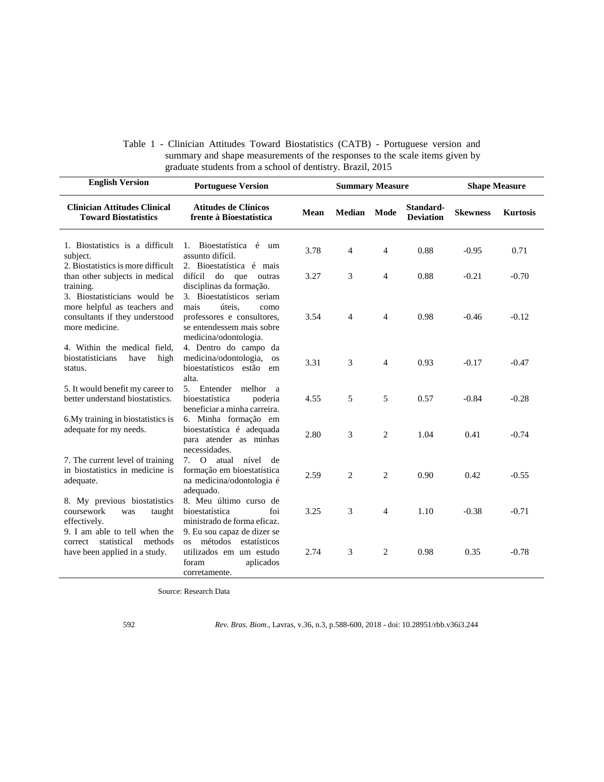|                                                            |  |  |  |  |  | Table 1 - Clinician Attitudes Toward Biostatistics (CATB) - Portuguese version and |  |  |  |  |
|------------------------------------------------------------|--|--|--|--|--|------------------------------------------------------------------------------------|--|--|--|--|
|                                                            |  |  |  |  |  | summary and shape measurements of the responses to the scale items given by        |  |  |  |  |
| graduate students from a school of dentistry. Brazil, 2015 |  |  |  |  |  |                                                                                    |  |  |  |  |

| <b>English Version</b>                                                                                           | <b>Portuguese Version</b>                                                                                                               |             | <b>Summary Measure</b> |                |                               | <b>Shape Measure</b> |                 |
|------------------------------------------------------------------------------------------------------------------|-----------------------------------------------------------------------------------------------------------------------------------------|-------------|------------------------|----------------|-------------------------------|----------------------|-----------------|
| <b>Clinician Attitudes Clinical</b><br><b>Toward Biostatistics</b>                                               | <b>Atitudes de Clínicos</b><br>frente à Bioestatística                                                                                  | <b>Mean</b> | <b>Median</b>          | Mode           | Standard-<br><b>Deviation</b> | <b>Skewness</b>      | <b>Kurtosis</b> |
| 1. Biostatistics is a difficult<br>subject.<br>2. Biostatistics is more difficult                                | Bioestatística é<br>1.<br>um<br>assunto difícil.<br>2. Bioestatística é mais                                                            | 3.78        | 4                      | 4              | 0.88                          | $-0.95$              | 0.71            |
| than other subjects in medical<br>training.                                                                      | difícil<br>do que<br>outras<br>disciplinas da formação.                                                                                 | 3.27        | 3                      | 4              | 0.88                          | $-0.21$              | $-0.70$         |
| 3. Biostatisticians would be<br>more helpful as teachers and<br>consultants if they understood<br>more medicine. | 3. Bioestatísticos seriam<br>mais<br>úteis.<br>como<br>professores e consultores,<br>se entendessem mais sobre<br>medicina/odontologia. | 3.54        | $\overline{4}$         | 4              | 0.98                          | $-0.46$              | $-0.12$         |
| 4. Within the medical field,<br>biostatisticians<br>high<br>have<br>status.                                      | 4. Dentro do campo da<br>medicina/odontologia,<br><b>OS</b><br>bioestatísticos estão<br>em<br>alta.                                     | 3.31        | 3                      | $\overline{4}$ | 0.93                          | $-0.17$              | $-0.47$         |
| 5. It would benefit my career to<br>better understand biostatistics.                                             | 5. Entender<br>melhor<br><sub>a</sub><br>bioestatística<br>poderia<br>beneficiar a minha carreira.                                      | 4.55        | 5                      | 5              | 0.57                          | $-0.84$              | $-0.28$         |
| 6. My training in biostatistics is<br>adequate for my needs.                                                     | 6. Minha formação em<br>bioestatística é adequada<br>para atender as minhas<br>necessidades.                                            | 2.80        | 3                      | 2              | 1.04                          | 0.41                 | $-0.74$         |
| 7. The current level of training<br>in biostatistics in medicine is<br>adequate.                                 | 7. O atual<br>nível<br>de<br>formação em bioestatística<br>na medicina/odontologia é<br>adequado.                                       | 2.59        | 2                      | $\overline{c}$ | 0.90                          | 0.42                 | $-0.55$         |
| 8. My previous biostatistics<br>coursework<br>taught<br>was<br>effectively.<br>9. I am able to tell when the     | 8. Meu último curso de<br>bioestatística<br>foi<br>ministrado de forma eficaz.<br>9. Eu sou capaz de dizer se                           | 3.25        | 3                      | $\overline{4}$ | 1.10                          | $-0.38$              | $-0.71$         |
| methods<br>statistical<br>correct<br>have been applied in a study.                                               | os métodos<br>estatísticos<br>utilizados em um estudo<br>foram<br>aplicados<br>corretamente.                                            | 2.74        | 3                      | 2              | 0.98                          | 0.35                 | $-0.78$         |

Source: Research Data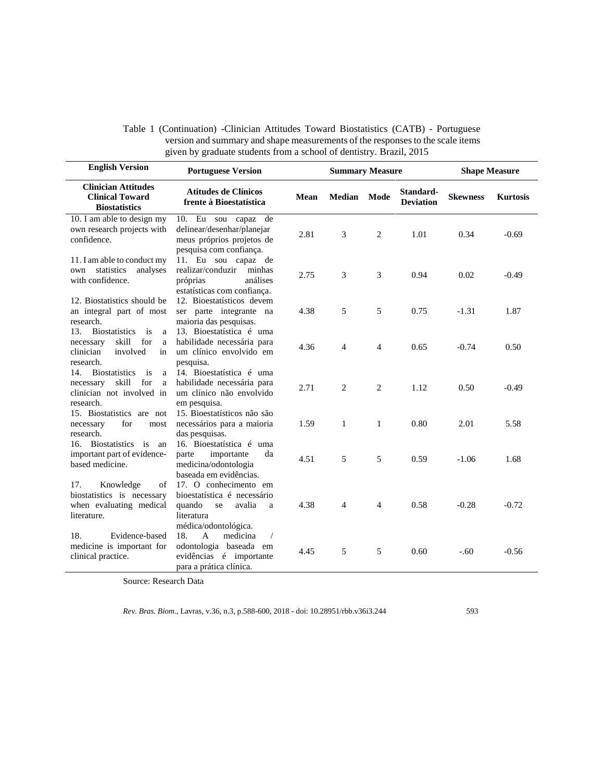| <b>English Version</b>                                                                                                 | <b>Portuguese Version</b>                                                                                                     |             | <b>Summary Measure</b> |                | <b>Shape Measure</b>          |                 |                 |
|------------------------------------------------------------------------------------------------------------------------|-------------------------------------------------------------------------------------------------------------------------------|-------------|------------------------|----------------|-------------------------------|-----------------|-----------------|
| <b>Clinician Attitudes</b><br><b>Clinical Toward</b><br><b>Biostatistics</b>                                           | <b>Atitudes de Clínicos</b><br>frente à Bioestatística                                                                        | <b>Mean</b> | Median                 | Mode           | Standard-<br><b>Deviation</b> | <b>Skewness</b> | <b>Kurtosis</b> |
| 10. I am able to design my<br>own research projects with<br>confidence.                                                | 10. Eu sou capaz de<br>delinear/desenhar/planejar<br>meus próprios projetos de<br>pesquisa com confiança.                     | 2.81        | 3                      | 2              | 1.01                          | 0.34            | $-0.69$         |
| 11. I am able to conduct my<br>statistics analyses<br>own<br>with confidence.                                          | 11. Eu sou capaz de<br>realizar/conduzir<br>minhas<br>próprias<br>análises<br>estatísticas com confiança.                     | 2.75        | 3                      | 3              | 0.94                          | 0.02            | $-0.49$         |
| 12. Biostatistics should be<br>an integral part of most<br>research.                                                   | 12. Bioestatísticos devem<br>ser parte integrante na<br>maioria das pesquisas.                                                | 4.38        | 5                      | 5              | 0.75                          | $-1.31$         | 1.87            |
| 13. Biostatistics is<br>$\mathbf{a}$<br>skill for<br>necessary<br>$\rm{a}$<br>clinician<br>involved<br>in<br>research. | 13. Bioestatística é uma<br>habilidade necessária para<br>um clínico envolvido em<br>pesquisa.                                | 4.36        | 4                      | $\overline{4}$ | 0.65                          | $-0.74$         | 0.50            |
| 14. Biostatistics<br>is<br>a<br>skill<br>for<br>necessary<br>a<br>clinician not involved in<br>research.               | 14. Bioestatística é uma<br>habilidade necessária para<br>um clínico não envolvido<br>em pesquisa.                            | 2.71        | 2                      | 2              | 1.12                          | 0.50            | $-0.49$         |
| 15. Biostatistics are not<br>necessary<br>for<br>most<br>research.                                                     | 15. Bioestatísticos não são<br>necessários para a maioria<br>das pesquisas.                                                   | 1.59        | $\mathbf{1}$           | $\mathbf{1}$   | 0.80                          | 2.01            | 5.58            |
| 16. Biostatistics is<br>an<br>important part of evidence-<br>based medicine.                                           | 16. Bioestatística é uma<br>importante<br>parte<br>da<br>medicina/odontologia<br>baseada em evidências.                       | 4.51        | 5                      | 5              | 0.59                          | $-1.06$         | 1.68            |
| Knowledge<br>17.<br>of<br>biostatistics is necessary<br>when evaluating medical<br>literature.                         | 17. O conhecimento em<br>bioestatística é necessário<br>quando<br>avalia<br>se<br>a<br>literatura<br>médica/odontológica.     | 4.38        | 4                      | $\overline{4}$ | 0.58                          | $-0.28$         | $-0.72$         |
| 18.<br>Evidence-based<br>medicine is important for<br>clinical practice.                                               | medicina<br>18.<br>$\mathbf{A}$<br>$\sqrt{2}$<br>odontologia baseada em<br>evidências é importante<br>para a prática clínica. | 4.45        | 5                      | 5              | 0.60                          | $-.60$          | $-0.56$         |

Table 1 (Continuation) -Clinician Attitudes Toward Biostatistics (CATB) - Portuguese version and summary and shape measurements of the responses to the scale items given by graduate students from a school of dentistry. Brazil, 2015

Source: Research Data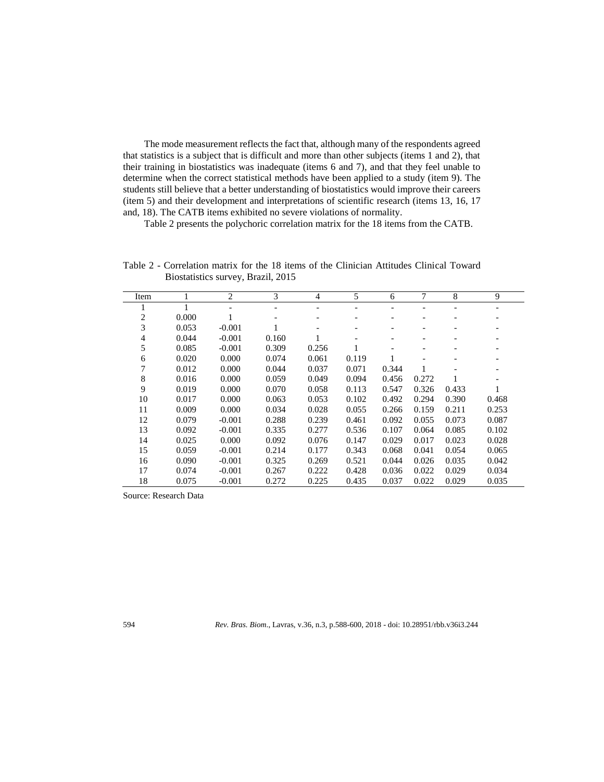The mode measurement reflects the fact that, although many of the respondents agreed that statistics is a subject that is difficult and more than other subjects (items 1 and 2), that their training in biostatistics was inadequate (items 6 and 7), and that they feel unable to determine when the correct statistical methods have been applied to a study (item 9). The students still believe that a better understanding of biostatistics would improve their careers (item 5) and their development and interpretations of scientific research (items 13, 16, 17 and, 18). The CATB items exhibited no severe violations of normality.

Table 2 presents the polychoric correlation matrix for the 18 items from the CATB.

Table 2 - Correlation matrix for the 18 items of the Clinician Attitudes Clinical Toward Biostatistics survey, Brazil, 2015

| Item |       | $\overline{c}$ | 3     | $\overline{4}$ | 5     | 6     | 7     | 8     | 9     |
|------|-------|----------------|-------|----------------|-------|-------|-------|-------|-------|
|      |       |                |       |                |       |       |       |       |       |
| 2    | 0.000 |                |       |                |       |       |       |       |       |
| 3    | 0.053 | $-0.001$       |       |                |       |       |       |       |       |
| 4    | 0.044 | $-0.001$       | 0.160 |                | -     |       |       |       |       |
| 5    | 0.085 | $-0.001$       | 0.309 | 0.256          |       |       |       |       |       |
| 6    | 0.020 | 0.000          | 0.074 | 0.061          | 0.119 |       |       |       |       |
| 7    | 0.012 | 0.000          | 0.044 | 0.037          | 0.071 | 0.344 |       |       |       |
| 8    | 0.016 | 0.000          | 0.059 | 0.049          | 0.094 | 0.456 | 0.272 | 1     |       |
| 9    | 0.019 | 0.000          | 0.070 | 0.058          | 0.113 | 0.547 | 0.326 | 0.433 |       |
| 10   | 0.017 | 0.000          | 0.063 | 0.053          | 0.102 | 0.492 | 0.294 | 0.390 | 0.468 |
| 11   | 0.009 | 0.000          | 0.034 | 0.028          | 0.055 | 0.266 | 0.159 | 0.211 | 0.253 |
| 12   | 0.079 | $-0.001$       | 0.288 | 0.239          | 0.461 | 0.092 | 0.055 | 0.073 | 0.087 |
| 13   | 0.092 | $-0.001$       | 0.335 | 0.277          | 0.536 | 0.107 | 0.064 | 0.085 | 0.102 |
| 14   | 0.025 | 0.000          | 0.092 | 0.076          | 0.147 | 0.029 | 0.017 | 0.023 | 0.028 |
| 15   | 0.059 | $-0.001$       | 0.214 | 0.177          | 0.343 | 0.068 | 0.041 | 0.054 | 0.065 |
| 16   | 0.090 | $-0.001$       | 0.325 | 0.269          | 0.521 | 0.044 | 0.026 | 0.035 | 0.042 |
| 17   | 0.074 | $-0.001$       | 0.267 | 0.222          | 0.428 | 0.036 | 0.022 | 0.029 | 0.034 |
| 18   | 0.075 | $-0.001$       | 0.272 | 0.225          | 0.435 | 0.037 | 0.022 | 0.029 | 0.035 |

Source: Research Data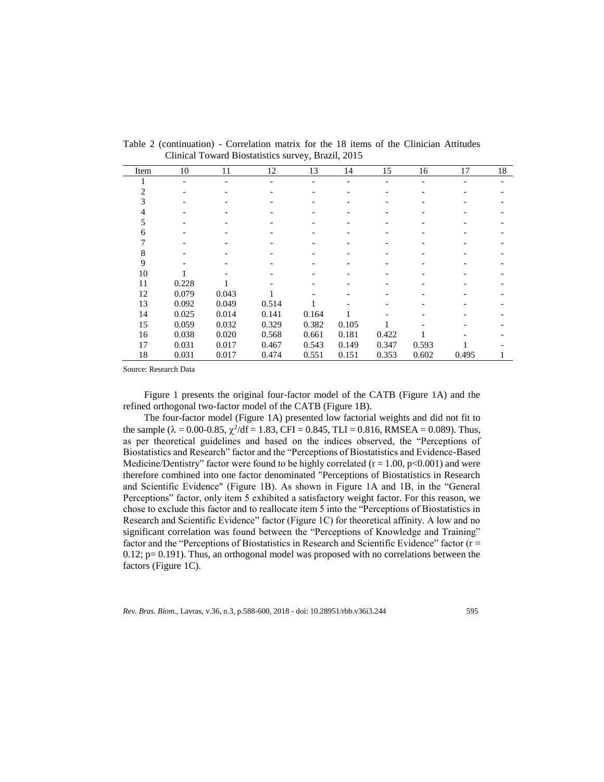| Item | 10    | 11    | 12    | 13    | 14    | 15    | 16    | 17    | 18 |
|------|-------|-------|-------|-------|-------|-------|-------|-------|----|
|      |       |       |       |       |       |       |       |       |    |
| 2    |       |       |       |       |       |       |       |       |    |
| 3    |       |       |       |       |       |       |       |       |    |
| 4    |       |       |       |       |       |       |       |       |    |
| 5    |       |       |       |       |       |       |       |       |    |
| 6    |       |       |       |       |       |       |       |       |    |
|      |       |       |       |       |       |       |       |       |    |
| 8    |       |       |       |       |       |       |       |       |    |
| 9    |       |       |       |       |       |       |       |       |    |
| 10   |       |       |       |       |       |       |       |       |    |
| 11   | 0.228 |       |       |       |       |       |       |       |    |
| 12   | 0.079 | 0.043 |       |       |       |       |       |       |    |
| 13   | 0.092 | 0.049 | 0.514 |       |       |       |       |       |    |
| 14   | 0.025 | 0.014 | 0.141 | 0.164 |       |       |       |       |    |
| 15   | 0.059 | 0.032 | 0.329 | 0.382 | 0.105 |       |       |       |    |
| 16   | 0.038 | 0.020 | 0.568 | 0.661 | 0.181 | 0.422 |       |       |    |
| 17   | 0.031 | 0.017 | 0.467 | 0.543 | 0.149 | 0.347 | 0.593 |       |    |
| 18   | 0.031 | 0.017 | 0.474 | 0.551 | 0.151 | 0.353 | 0.602 | 0.495 |    |

Table 2 (continuation) - Correlation matrix for the 18 items of the Clinician Attitudes Clinical Toward Biostatistics survey, Brazil, 2015

Source: Research Data

Figure 1 presents the original four-factor model of the CATB (Figure 1A) and the refined orthogonal two-factor model of the CATB (Figure 1B).

The four-factor model (Figure 1A) presented low factorial weights and did not fit to the sample ( $\lambda = 0.00$ -0.85,  $\chi^2$ /df = 1.83, CFI = 0.845, TLI = 0.816, RMSEA = 0.089). Thus, as per theoretical guidelines and based on the indices observed, the "Perceptions of Biostatistics and Research" factor and the "Perceptions of Biostatistics and Evidence-Based Medicine/Dentistry" factor were found to be highly correlated ( $r = 1.00$ ,  $p < 0.001$ ) and were therefore combined into one factor denominated "Perceptions of Biostatistics in Research and Scientific Evidence" (Figure 1B). As shown in Figure 1A and 1B, in the "General Perceptions" factor, only item 5 exhibited a satisfactory weight factor. For this reason, we chose to exclude this factor and to reallocate item 5 into the "Perceptions of Biostatistics in Research and Scientific Evidence" factor (Figure 1C) for theoretical affinity. A low and no significant correlation was found between the "Perceptions of Knowledge and Training" factor and the "Perceptions of Biostatistics in Research and Scientific Evidence" factor ( $r =$ 0.12; p= 0.191). Thus, an orthogonal model was proposed with no correlations between the factors (Figure 1C).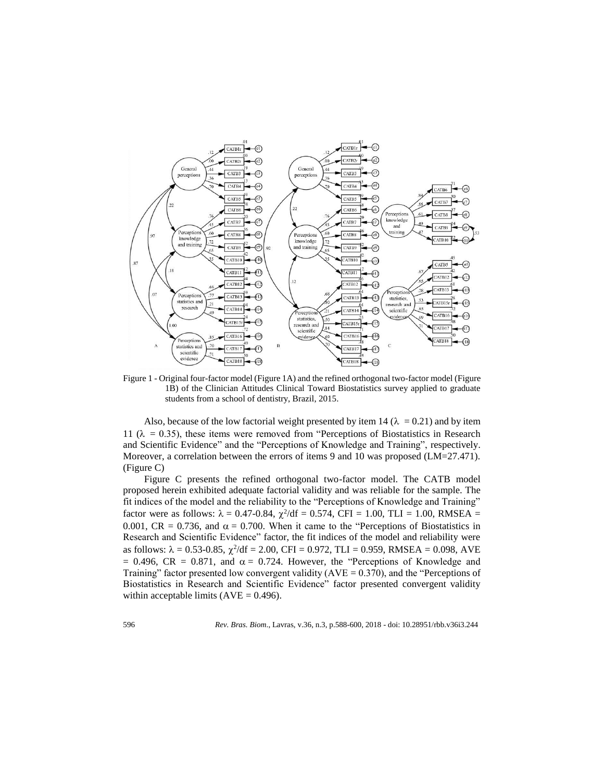

Figure 1 - Original four-factor model (Figure 1A) and the refined orthogonal two-factor model (Figure 1B) of the Clinician Attitudes Clinical Toward Biostatistics survey applied to graduate students from a school of dentistry, Brazil, 2015.

Also, because of the low factorial weight presented by item 14 ( $\lambda = 0.21$ ) and by item 11 ( $\lambda = 0.35$ ), these items were removed from "Perceptions of Biostatistics in Research and Scientific Evidence" and the "Perceptions of Knowledge and Training", respectively. Moreover, a correlation between the errors of items 9 and 10 was proposed (LM=27.471). (Figure C)

Figure C presents the refined orthogonal two-factor model. The CATB model proposed herein exhibited adequate factorial validity and was reliable for the sample. The fit indices of the model and the reliability to the "Perceptions of Knowledge and Training" factor were as follows:  $\lambda = 0.47 - 0.84$ ,  $\chi^2/df = 0.574$ , CFI = 1.00, TLI = 1.00, RMSEA = 0.001, CR = 0.736, and  $\alpha$  = 0.700. When it came to the "Perceptions of Biostatistics in Research and Scientific Evidence" factor, the fit indices of the model and reliability were as follows:  $\lambda = 0.53$ -0.85,  $\chi^2/df = 2.00$ , CFI = 0.972, TLI = 0.959, RMSEA = 0.098, AVE  $= 0.496$ , CR = 0.871, and  $\alpha = 0.724$ . However, the "Perceptions of Knowledge and Training" factor presented low convergent validity ( $AVE = 0.370$ ), and the "Perceptions of Biostatistics in Research and Scientific Evidence" factor presented convergent validity within acceptable limits  $(AVE = 0.496)$ .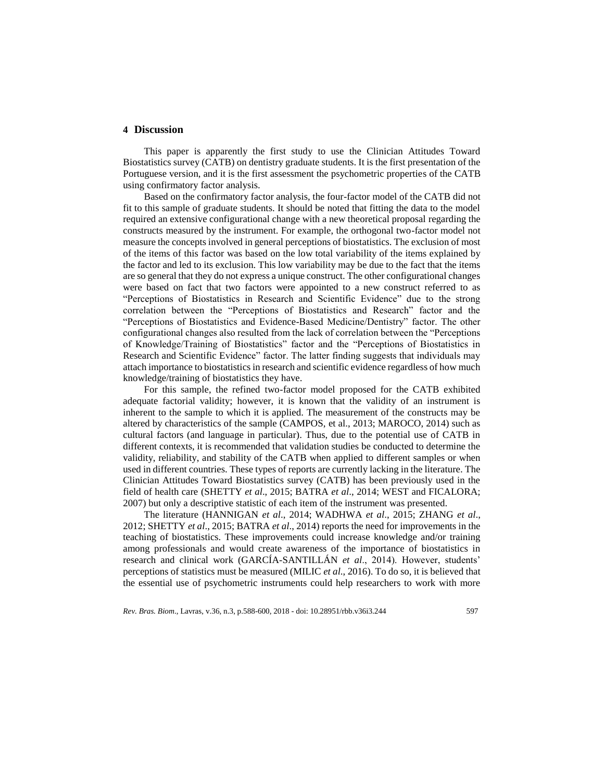# **4 Discussion**

This paper is apparently the first study to use the Clinician Attitudes Toward Biostatistics survey (CATB) on dentistry graduate students. It is the first presentation of the Portuguese version, and it is the first assessment the psychometric properties of the CATB using confirmatory factor analysis.

Based on the confirmatory factor analysis, the four-factor model of the CATB did not fit to this sample of graduate students. It should be noted that fitting the data to the model required an extensive configurational change with a new theoretical proposal regarding the constructs measured by the instrument. For example, the orthogonal two-factor model not measure the concepts involved in general perceptions of biostatistics. The exclusion of most of the items of this factor was based on the low total variability of the items explained by the factor and led to its exclusion. This low variability may be due to the fact that the items are so general that they do not express a unique construct. The other configurational changes were based on fact that two factors were appointed to a new construct referred to as "Perceptions of Biostatistics in Research and Scientific Evidence" due to the strong correlation between the "Perceptions of Biostatistics and Research" factor and the "Perceptions of Biostatistics and Evidence-Based Medicine/Dentistry" factor. The other configurational changes also resulted from the lack of correlation between the "Perceptions of Knowledge/Training of Biostatistics" factor and the "Perceptions of Biostatistics in Research and Scientific Evidence" factor. The latter finding suggests that individuals may attach importance to biostatistics in research and scientific evidence regardless of how much knowledge/training of biostatistics they have.

For this sample, the refined two-factor model proposed for the CATB exhibited adequate factorial validity; however, it is known that the validity of an instrument is inherent to the sample to which it is applied. The measurement of the constructs may be altered by characteristics of the sample (CAMPOS, et al., 2013; MAROCO, 2014) such as cultural factors (and language in particular). Thus, due to the potential use of CATB in different contexts, it is recommended that validation studies be conducted to determine the validity, reliability, and stability of the CATB when applied to different samples or when used in different countries. These types of reports are currently lacking in the literature. The Clinician Attitudes Toward Biostatistics survey (CATB) has been previously used in the field of health care (SHETTY *et al*., 2015; BATRA *et al*., 2014; WEST and FICALORA; 2007) but only a descriptive statistic of each item of the instrument was presented.

The literature (HANNIGAN *et al*., 2014; WADHWA *et al*., 2015; ZHANG *et al*., 2012; SHETTY *et al*., 2015; BATRA *et al*., 2014) reports the need for improvements in the teaching of biostatistics. These improvements could increase knowledge and/or training among professionals and would create awareness of the importance of biostatistics in research and clinical work (GARCÍA-SANTILLÁN *et al*., 2014). However, students' perceptions of statistics must be measured (MILIC *et al*., 2016). To do so, it is believed that the essential use of psychometric instruments could help researchers to work with more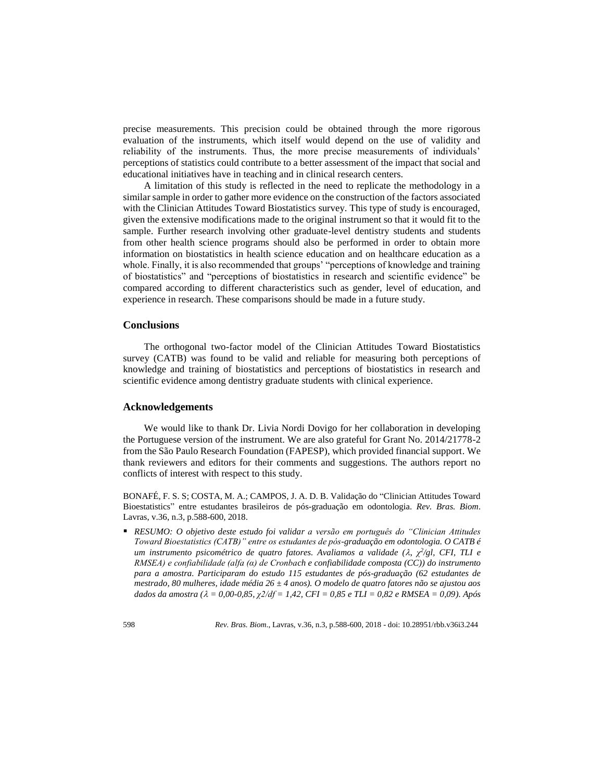precise measurements. This precision could be obtained through the more rigorous evaluation of the instruments, which itself would depend on the use of validity and reliability of the instruments. Thus, the more precise measurements of individuals' perceptions of statistics could contribute to a better assessment of the impact that social and educational initiatives have in teaching and in clinical research centers.

A limitation of this study is reflected in the need to replicate the methodology in a similar sample in order to gather more evidence on the construction of the factors associated with the Clinician Attitudes Toward Biostatistics survey. This type of study is encouraged, given the extensive modifications made to the original instrument so that it would fit to the sample. Further research involving other graduate-level dentistry students and students from other health science programs should also be performed in order to obtain more information on biostatistics in health science education and on healthcare education as a whole. Finally, it is also recommended that groups' "perceptions of knowledge and training of biostatistics" and "perceptions of biostatistics in research and scientific evidence" be compared according to different characteristics such as gender, level of education, and experience in research. These comparisons should be made in a future study.

# **Conclusions**

The orthogonal two-factor model of the Clinician Attitudes Toward Biostatistics survey (CATB) was found to be valid and reliable for measuring both perceptions of knowledge and training of biostatistics and perceptions of biostatistics in research and scientific evidence among dentistry graduate students with clinical experience.

# **Acknowledgements**

We would like to thank Dr. Livia Nordi Dovigo for her collaboration in developing the Portuguese version of the instrument. We are also grateful for Grant No. 2014/21778-2 from the São Paulo Research Foundation (FAPESP), which provided financial support. We thank reviewers and editors for their comments and suggestions. The authors report no conflicts of interest with respect to this study.

BONAFÉ, F. S. S; COSTA, M. A.; CAMPOS, J. A. D. B. Validação do "Clinician Attitudes Toward Bioestatistics" entre estudantes brasileiros de pós-graduação em odontologia. *Rev. Bras. Biom*. Lavras, v.36, n.3, p.588-600, 2018.

 *RESUMO: O objetivo deste estudo foi validar a versão em português do "Clinician Attitudes Toward Bioestatistics (CATB)" entre os estudantes de pós-graduação em odontologia. O CATB é um instrumento psicométrico de quatro fatores. Avaliamos a validade (, χ 2 /gl, CFI, TLI e RMSEA) e confiabilidade (alfa (α) de Cronbach e confiabilidade composta (CC)) do instrumento para a amostra. Participaram do estudo 115 estudantes de pós-graduação (62 estudantes de mestrado, 80 mulheres, idade média 26 ± 4 anos). O modelo de quatro fatores não se ajustou aos dados da amostra ( = 0,00-0,85, χ2/df = 1,42, CFI = 0,85 e TLI = 0,82 e RMSEA = 0,09). Após*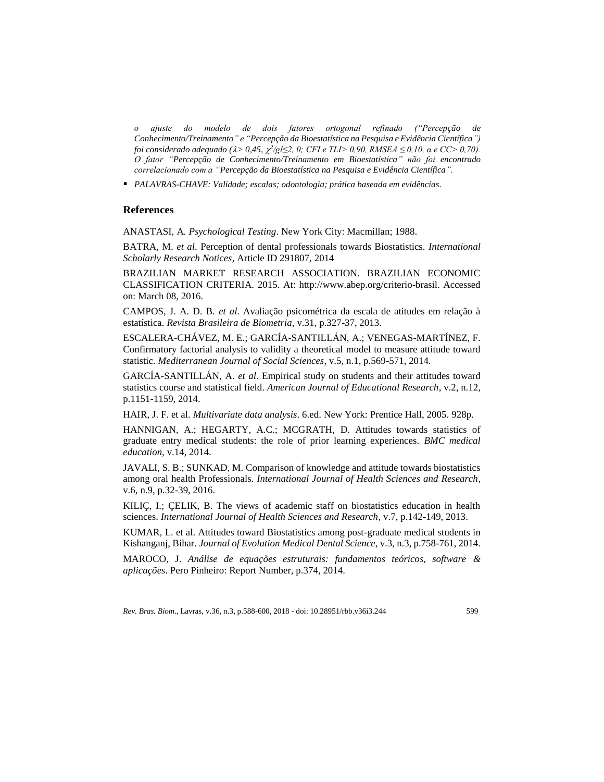*o ajuste do modelo de dois fatores ortogonal refinado ("Percepção de Conhecimento/Treinamento" e "Percepção da Bioestatística na Pesquisa e Evidência Científica") foi considerado adequado (* $\lambda > 0.45$ *,*  $\chi^2/g$ *l≤2, 0; CFI e TLI> 0,90, RMSEA* ≤ 0,10,  $\alpha$  e CC> 0,70). *O fator "Percepção de Conhecimento/Treinamento em Bioestatística" não foi encontrado correlacionado com a "Percepção da Bioestatística na Pesquisa e Evidência Científica".*

*PALAVRAS-CHAVE: Validade; escalas; odontologia; prática baseada em evidências.*

## **References**

ANASTASI, A*. Psychological Testing*. New York City: Macmillan; 1988.

BATRA, M. *et al*. Perception of dental professionals towards Biostatistics. *International Scholarly Research Notices*, Article ID 291807, 2014

BRAZILIAN MARKET RESEARCH ASSOCIATION. BRAZILIAN ECONOMIC CLASSIFICATION CRITERIA. 2015. At: http://www.abep.org/criterio-brasil. Accessed on: March 08, 2016.

CAMPOS, J. A. D. B. *et al*. Avaliação psicométrica da escala de atitudes em relação à estatística. *Revista Brasileira de Biometria*, v.31, p.327-37, 2013.

ESCALERA-CHÁVEZ, M. E.; GARCÍA-SANTILLÁN, A.; VENEGAS-MARTÍNEZ, F. Confirmatory factorial analysis to validity a theoretical model to measure attitude toward statistic. *Mediterranean Journal of Social Sciences*, v.5, n.1, p.569-571, 2014.

GARCÍA-SANTILLÁN, A. *et al*. Empirical study on students and their attitudes toward statistics course and statistical field. *American Journal of Educational Research*, v.2, n.12, p.1151-1159, 2014.

HAIR, J. F. et al. *Multivariate data analysis*. 6.ed. New York: Prentice Hall, 2005. 928p.

HANNIGAN, A.; HEGARTY, A.C.; MCGRATH, D. Attitudes towards statistics of graduate entry medical students: the role of prior learning experiences. *BMC medical education*, v.14, 2014.

JAVALI, S. B.; SUNKAD, M. Comparison of knowledge and attitude towards biostatistics among oral health Professionals. *International Journal of Health Sciences and Research*, v.6, n.9, p.32-39, 2016.

KILIÇ, I.; ÇELIK, B. The views of academic staff on biostatistics education in health sciences. *International Journal of Health Sciences and Research*, v.7, p.142-149, 2013.

KUMAR, L. et al. Attitudes toward Biostatistics among post-graduate medical students in Kishanganj, Bihar. *Journal of Evolution Medical Dental Science*, v.3, n.3, p.758-761, 2014.

MAROCO, J. *Análise de equações estruturais: fundamentos teóricos, software & aplicações*. Pero Pinheiro: Report Number, p.374, 2014.